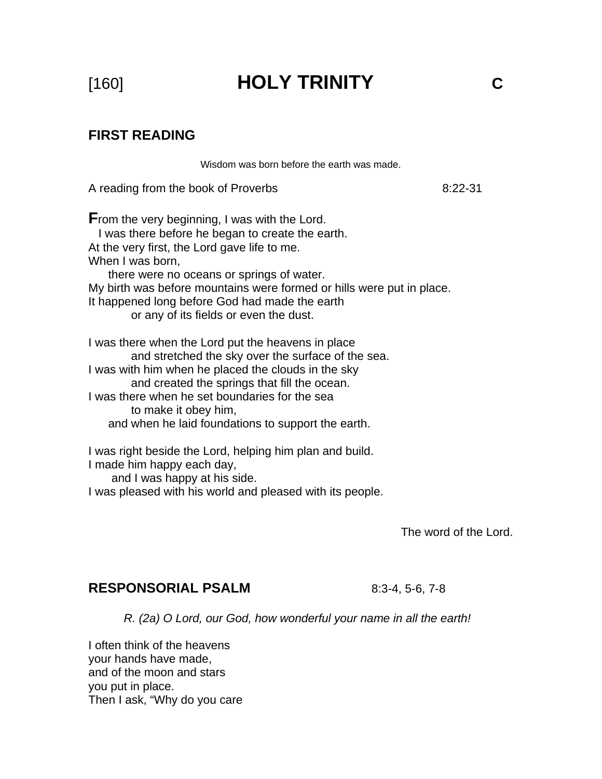[160] **HOLY TRINITY C** 

# **FIRST READING**

Wisdom was born before the earth was made.

A reading from the book of Proverbs 8:22-31

**F**rom the very beginning, I was with the Lord. I was there before he began to create the earth. At the very first, the Lord gave life to me. When I was born, there were no oceans or springs of water. My birth was before mountains were formed or hills were put in place. It happened long before God had made the earth or any of its fields or even the dust. I was there when the Lord put the heavens in place and stretched the sky over the surface of the sea.

I was with him when he placed the clouds in the sky and created the springs that fill the ocean. I was there when he set boundaries for the sea to make it obey him,

and when he laid foundations to support the earth.

I was right beside the Lord, helping him plan and build.

I made him happy each day,

and I was happy at his side.

I was pleased with his world and pleased with its people.

The word of the Lord.

## **RESPONSORIAL PSALM** 8:3-4, 5-6, 7-8

*R. (2a) O Lord, our God, how wonderful your name in all the earth!* 

I often think of the heavens your hands have made, and of the moon and stars you put in place. Then I ask, "Why do you care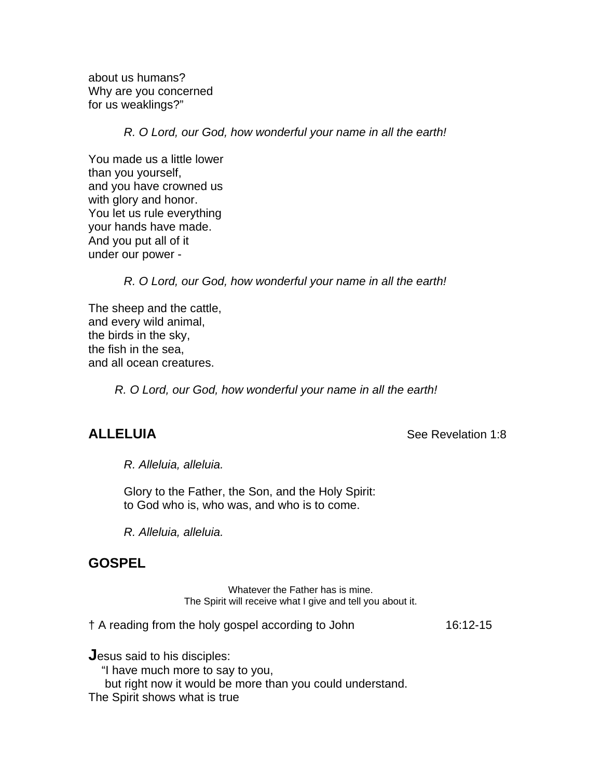about us humans? Why are you concerned for us weaklings?"

*R. O Lord, our God, how wonderful your name in all the earth!* 

You made us a little lower than you yourself, and you have crowned us with glory and honor. You let us rule everything your hands have made. And you put all of it under our power -

*R. O Lord, our God, how wonderful your name in all the earth!* 

The sheep and the cattle, and every wild animal, the birds in the sky, the fish in the sea, and all ocean creatures.

 *R. O Lord, our God, how wonderful your name in all the earth!* 

**ALLELUIA** See Revelation 1:8

 *R. Alleluia, alleluia.* 

Glory to the Father, the Son, and the Holy Spirit: to God who is, who was, and who is to come.

*R. Alleluia, alleluia.* 

# **GOSPEL**

Whatever the Father has is mine. The Spirit will receive what I give and tell you about it.

† A reading from the holy gospel according to John 16:12-15

**J**esus said to his disciples:

"I have much more to say to you,

but right now it would be more than you could understand.

The Spirit shows what is true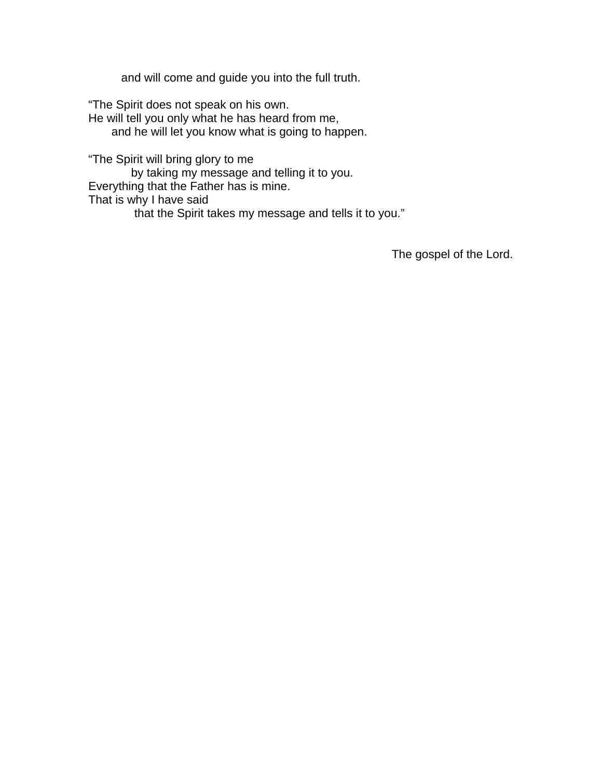and will come and guide you into the full truth.

"The Spirit does not speak on his own. He will tell you only what he has heard from me, and he will let you know what is going to happen.

"The Spirit will bring glory to me by taking my message and telling it to you. Everything that the Father has is mine. That is why I have said that the Spirit takes my message and tells it to you."

The gospel of the Lord.